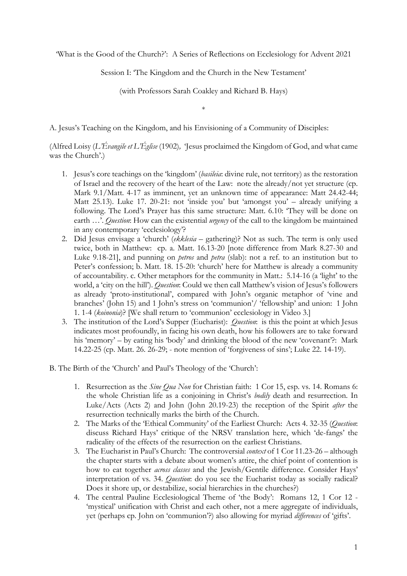'What is the Good of the Church?': A Series of Reflections on Ecclesiology for Advent 2021

Session I: 'The Kingdom and the Church in the New Testament'

(with Professors Sarah Coakley and Richard B. Hays)

\*

A. Jesus's Teaching on the Kingdom, and his Envisioning of a Community of Disciples:

(Alfred Loisy (*L'Évangile et L'Église* (1902)*,* 'Jesus proclaimed the Kingdom of God, and what came was the Church'.)

- 1. Jesus's core teachings on the 'kingdom' (*basileia*: divine rule, not territory) as the restoration of Israel and the recovery of the heart of the Law: note the already/not yet structure (cp. Mark 9.1/Matt. 4-17 as imminent, yet an unknown time of appearance: Matt 24.42-44; Matt 25.13). Luke 17. 20-21: not 'inside you' but 'amongst you' – already unifying a following. The Lord's Prayer has this same structure: Matt. 6.10: 'They will be done on earth …'. *Question*: How can the existential *urgency* of the call to the kingdom be maintained in any contemporary 'ecclesiology'?
- 2. Did Jesus envisage a 'church' (*ekklesia* gathering)? Not as such. The term is only used twice, both in Matthew: cp. a. Matt. 16.13-20 [note difference from Mark 8.27-30 and Luke 9.18-21], and punning on *petros* and *petra* (slab): not a ref. to an institution but to Peter's confession; b. Matt. 18. 15-20: 'church' here for Matthew is already a community of accountability. c. Other metaphors for the community in Matt.: 5.14-16 (a 'light' to the world, a 'city on the hill'). *Question*: Could we then call Matthew's vision of Jesus's followers as already 'proto-institutional', compared with John's organic metaphor of 'vine and branches' (John 15) and 1 John's stress on 'communion'/ 'fellowship' and union: 1 John 1. 1-4 (*koinonia*)? [We shall return to 'communion' ecclesiology in Video 3.]
- 3. The institution of the Lord's Supper (Eucharist): *Question*: is this the point at which Jesus indicates most profoundly, in facing his own death, how his followers are to take forward his 'memory' – by eating his 'body' and drinking the blood of the new 'covenant'?: Mark 14.22-25 (cp. Matt. 26. 26-29; - note mention of 'forgiveness of sins'; Luke 22. 14-19).
- B. The Birth of the 'Church' and Paul's Theology of the 'Church':
	- 1. Resurrection as the *Sine Qua Non* for Christian faith: 1 Cor 15, esp. vs. 14. Romans 6: the whole Christian life as a conjoining in Christ's *bodily* death and resurrection. In Luke/Acts (Acts 2) and John (John 20.19-23) the reception of the Spirit *after* the resurrection technically marks the birth of the Church.
	- 2. The Marks of the 'Ethical Community' of the Earliest Church: Acts 4. 32-35 (*Question*: discuss Richard Hays' critique of the NRSV translation here, which 'de-fangs' the radicality of the effects of the resurrection on the earliest Christians.
	- 3. The Eucharist in Paul's Church: The controversial *context* of 1 Cor 11.23-26 although the chapter starts with a debate about women's attire, the chief point of contention is how to eat together *across classes* and the Jewish/Gentile difference. Consider Hays' interpretation of vs. 34. *Question*: do you see the Eucharist today as socially radical? Does it shore up, or destabilize, social hierarchies in the churches?)
	- 4. The central Pauline Ecclesiological Theme of 'the Body': Romans 12, 1 Cor 12 'mystical' unification with Christ and each other, not a mere aggregate of individuals, yet (perhaps cp. John on 'communion'?) also allowing for myriad *differences* of 'gifts'.